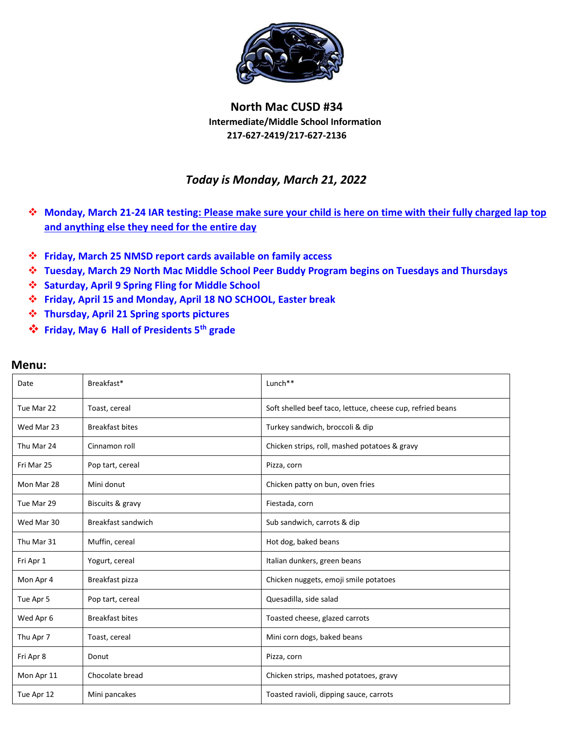

## **North Mac CUSD #34 Intermediate/Middle School Information 217-627-2419/217-627-2136**

## *Today is Monday, March 21, 2022*

- **Monday, March 21-24 IAR testing: Please make sure your child is here on time with their fully charged lap top and anything else they need for the entire day**
- **Friday, March 25 NMSD report cards available on family access**
- **Tuesday, March 29 North Mac Middle School Peer Buddy Program begins on Tuesdays and Thursdays**
- **Saturday, April 9 Spring Fling for Middle School**
- **Friday, April 15 and Monday, April 18 NO SCHOOL, Easter break**
- **Thursday, April 21 Spring sports pictures**
- **Friday, May 6 Hall of Presidents 5th grade**

| Date       | Breakfast*             | Lunch <sup>**</sup>                                        |
|------------|------------------------|------------------------------------------------------------|
| Tue Mar 22 | Toast, cereal          | Soft shelled beef taco, lettuce, cheese cup, refried beans |
| Wed Mar 23 | <b>Breakfast bites</b> | Turkey sandwich, broccoli & dip                            |
| Thu Mar 24 | Cinnamon roll          | Chicken strips, roll, mashed potatoes & gravy              |
| Fri Mar 25 | Pop tart, cereal       | Pizza, corn                                                |
| Mon Mar 28 | Mini donut             | Chicken patty on bun, oven fries                           |
| Tue Mar 29 | Biscuits & gravy       | Fiestada, corn                                             |
| Wed Mar 30 | Breakfast sandwich     | Sub sandwich, carrots & dip                                |
| Thu Mar 31 | Muffin, cereal         | Hot dog, baked beans                                       |
| Fri Apr 1  | Yogurt, cereal         | Italian dunkers, green beans                               |
| Mon Apr 4  | Breakfast pizza        | Chicken nuggets, emoji smile potatoes                      |
| Tue Apr 5  | Pop tart, cereal       | Quesadilla, side salad                                     |
| Wed Apr 6  | <b>Breakfast bites</b> | Toasted cheese, glazed carrots                             |
| Thu Apr 7  | Toast, cereal          | Mini corn dogs, baked beans                                |
| Fri Apr 8  | Donut                  | Pizza, corn                                                |
| Mon Apr 11 | Chocolate bread        | Chicken strips, mashed potatoes, gravy                     |
| Tue Apr 12 | Mini pancakes          | Toasted ravioli, dipping sauce, carrots                    |

## **Menu:**